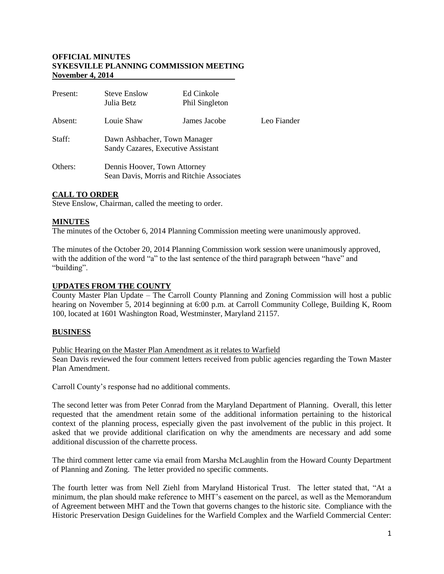### **OFFICIAL MINUTES SYKESVILLE PLANNING COMMISSION MEETING November 4, 2014**

| Present: | <b>Steve Enslow</b><br>Julia Betz                                         | Ed Cinkole<br>Phil Singleton |             |
|----------|---------------------------------------------------------------------------|------------------------------|-------------|
| Absent:  | Louie Shaw                                                                | James Jacobe                 | Leo Fiander |
| Staff:   | Dawn Ashbacher, Town Manager<br>Sandy Cazares, Executive Assistant        |                              |             |
| Others:  | Dennis Hoover, Town Attorney<br>Sean Davis, Morris and Ritchie Associates |                              |             |

# **CALL TO ORDER**

Steve Enslow, Chairman, called the meeting to order.

## **MINUTES**

The minutes of the October 6, 2014 Planning Commission meeting were unanimously approved.

The minutes of the October 20, 2014 Planning Commission work session were unanimously approved, with the addition of the word "a" to the last sentence of the third paragraph between "have" and "building".

### **UPDATES FROM THE COUNTY**

County Master Plan Update – The Carroll County Planning and Zoning Commission will host a public hearing on November 5, 2014 beginning at 6:00 p.m. at Carroll Community College, Building K, Room 100, located at 1601 Washington Road, Westminster, Maryland 21157.

### **BUSINESS**

### Public Hearing on the Master Plan Amendment as it relates to Warfield

Sean Davis reviewed the four comment letters received from public agencies regarding the Town Master Plan Amendment.

Carroll County's response had no additional comments.

The second letter was from Peter Conrad from the Maryland Department of Planning. Overall, this letter requested that the amendment retain some of the additional information pertaining to the historical context of the planning process, especially given the past involvement of the public in this project. It asked that we provide additional clarification on why the amendments are necessary and add some additional discussion of the charrette process.

The third comment letter came via email from Marsha McLaughlin from the Howard County Department of Planning and Zoning. The letter provided no specific comments.

The fourth letter was from Nell Ziehl from Maryland Historical Trust. The letter stated that, "At a minimum, the plan should make reference to MHT's easement on the parcel, as well as the Memorandum of Agreement between MHT and the Town that governs changes to the historic site. Compliance with the Historic Preservation Design Guidelines for the Warfield Complex and the Warfield Commercial Center: